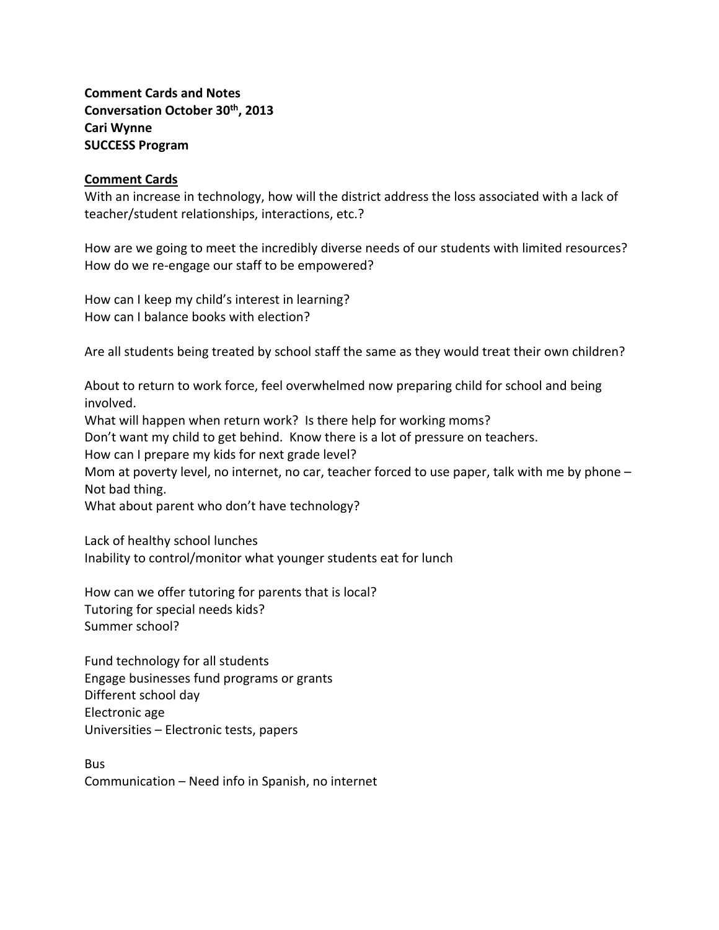**Comment Cards and Notes Conversation October 30th, 2013 Cari Wynne SUCCESS Program**

## **Comment Cards**

With an increase in technology, how will the district address the loss associated with a lack of teacher/student relationships, interactions, etc.?

How are we going to meet the incredibly diverse needs of our students with limited resources? How do we re-engage our staff to be empowered?

How can I keep my child's interest in learning? How can I balance books with election?

Are all students being treated by school staff the same as they would treat their own children?

About to return to work force, feel overwhelmed now preparing child for school and being involved. What will happen when return work? Is there help for working moms? Don't want my child to get behind. Know there is a lot of pressure on teachers. How can I prepare my kids for next grade level? Mom at poverty level, no internet, no car, teacher forced to use paper, talk with me by phone – Not bad thing. What about parent who don't have technology?

Lack of healthy school lunches Inability to control/monitor what younger students eat for lunch

How can we offer tutoring for parents that is local? Tutoring for special needs kids? Summer school?

Fund technology for all students Engage businesses fund programs or grants Different school day Electronic age Universities – Electronic tests, papers

Bus Communication – Need info in Spanish, no internet